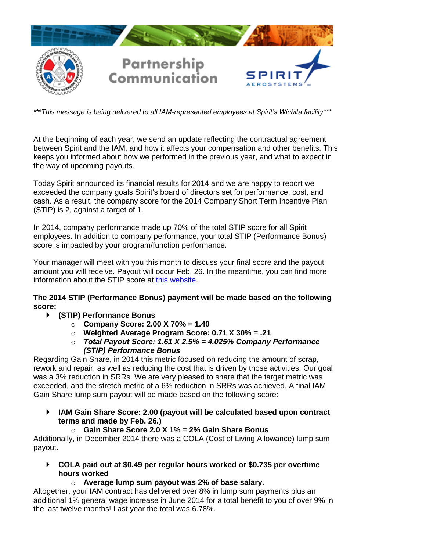

*\*\*\*This message is being delivered to all IAM-represented employees at Spirit's Wichita facility\*\*\**

At the beginning of each year, we send an update reflecting the contractual agreement between Spirit and the IAM, and how it affects your compensation and other benefits. This keeps you informed about how we performed in the previous year, and what to expect in the way of upcoming payouts.

Today Spirit announced its financial results for 2014 and we are happy to report we exceeded the company goals Spirit's board of directors set for performance, cost, and cash. As a result, the company score for the 2014 Company Short Term Incentive Plan (STIP) is 2, against a target of 1.

In 2014, company performance made up 70% of the total STIP score for all Spirit employees. In addition to company performance, your total STIP (Performance Bonus) score is impacted by your program/function performance.

Your manager will meet with you this month to discuss your final score and the payout amount you will receive. Payout will occur Feb. 26. In the meantime, you can find more information about the STIP score at [this website.](https://inside.spiritaero.com/stip)

## **The 2014 STIP (Performance Bonus) payment will be made based on the following score:**

## **(STIP) Performance Bonus**

- o **Company Score: 2.00 X 70% = 1.40**
- o **Weighted Average Program Score: 0.71 X 30% = .21**
- o *Total Payout Score: 1.61 X 2.5% = 4.025% Company Performance (STIP) Performance Bonus*

Regarding Gain Share, in 2014 this metric focused on reducing the amount of scrap, rework and repair, as well as reducing the cost that is driven by those activities. Our goal was a 3% reduction in SRRs. We are very pleased to share that the target metric was exceeded, and the stretch metric of a 6% reduction in SRRs was achieved. A final IAM Gain Share lump sum payout will be made based on the following score:

 **IAM Gain Share Score: 2.00 (payout will be calculated based upon contract terms and made by Feb. 26.)**

## o **Gain Share Score 2.0 X 1% = 2% Gain Share Bonus**

Additionally, in December 2014 there was a COLA (Cost of Living Allowance) lump sum payout.

- **COLA paid out at \$0.49 per regular hours worked or \$0.735 per overtime hours worked**
	- o **Average lump sum payout was 2% of base salary.**

Altogether, your IAM contract has delivered over 8% in lump sum payments plus an additional 1% general wage increase in June 2014 for a total benefit to you of over 9% in the last twelve months! Last year the total was 6.78%.